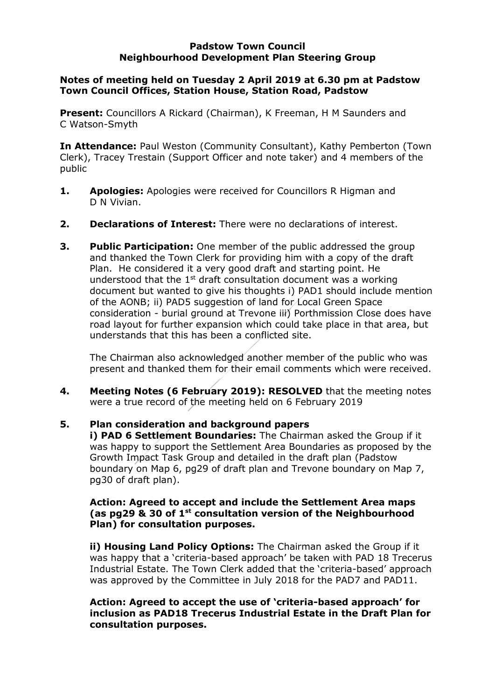#### **Padstow Town Council Neighbourhood Development Plan Steering Group**

## **Notes of meeting held on Tuesday 2 April 2019 at 6.30 pm at Padstow Town Council Offices, Station House, Station Road, Padstow**

**Present:** Councillors A Rickard (Chairman), K Freeman, H M Saunders and C Watson-Smyth

**In Attendance:** Paul Weston (Community Consultant), Kathy Pemberton (Town Clerk), Tracey Trestain (Support Officer and note taker) and 4 members of the public

- **1. Apologies:** Apologies were received for Councillors R Higman and D N Vivian.
- **2. Declarations of Interest:** There were no declarations of interest.
- **3. Public Participation:** One member of the public addressed the group and thanked the Town Clerk for providing him with a copy of the draft Plan. He considered it a very good draft and starting point. He understood that the  $1<sup>st</sup>$  draft consultation document was a working document but wanted to give his thoughts i) PAD1 should include mention of the AONB; ii) PAD5 suggestion of land for Local Green Space consideration - burial ground at Trevone iii) Porthmission Close does have road layout for further expansion which could take place in that area, but understands that this has been a conflicted site.

The Chairman also acknowledged another member of the public who was present and thanked them for their email comments which were received.

**4. Meeting Notes (6 February 2019): RESOLVED** that the meeting notes were a true record of the meeting held on 6 February 2019

# **5. Plan consideration and background papers**

**i) PAD 6 Settlement Boundaries:** The Chairman asked the Group if it was happy to support the Settlement Area Boundaries as proposed by the Growth Impact Task Group and detailed in the draft plan (Padstow boundary on Map 6, pg29 of draft plan and Trevone boundary on Map 7, pg30 of draft plan).

## **Action: Agreed to accept and include the Settlement Area maps (as pg29 & 30 of 1st consultation version of the Neighbourhood Plan) for consultation purposes.**

**ii) Housing Land Policy Options:** The Chairman asked the Group if it was happy that a 'criteria-based approach' be taken with PAD 18 Trecerus Industrial Estate. The Town Clerk added that the 'criteria-based' approach was approved by the Committee in July 2018 for the PAD7 and PAD11.

**Action: Agreed to accept the use of 'criteria-based approach' for inclusion as PAD18 Trecerus Industrial Estate in the Draft Plan for consultation purposes.**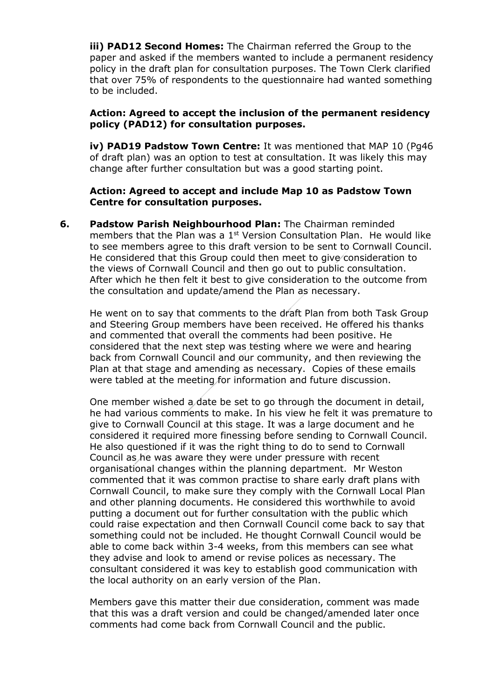**iii) PAD12 Second Homes:** The Chairman referred the Group to the paper and asked if the members wanted to include a permanent residency policy in the draft plan for consultation purposes. The Town Clerk clarified that over 75% of respondents to the questionnaire had wanted something to be included.

### **Action: Agreed to accept the inclusion of the permanent residency policy (PAD12) for consultation purposes.**

**iv) PAD19 Padstow Town Centre:** It was mentioned that MAP 10 (Pg46 of draft plan) was an option to test at consultation. It was likely this may change after further consultation but was a good starting point.

### **Action: Agreed to accept and include Map 10 as Padstow Town Centre for consultation purposes.**

**6. Padstow Parish Neighbourhood Plan:** The Chairman reminded members that the Plan was a  $1<sup>st</sup>$  Version Consultation Plan. He would like to see members agree to this draft version to be sent to Cornwall Council. He considered that this Group could then meet to give consideration to the views of Cornwall Council and then go out to public consultation. After which he then felt it best to give consideration to the outcome from the consultation and update/amend the Plan as necessary.

He went on to say that comments to the draft Plan from both Task Group and Steering Group members have been received. He offered his thanks and commented that overall the comments had been positive. He considered that the next step was testing where we were and hearing back from Cornwall Council and our community, and then reviewing the Plan at that stage and amending as necessary. Copies of these emails were tabled at the meeting for information and future discussion.

One member wished a date be set to go through the document in detail, he had various comments to make. In his view he felt it was premature to give to Cornwall Council at this stage. It was a large document and he considered it required more finessing before sending to Cornwall Council. He also questioned if it was the right thing to do to send to Cornwall Council as he was aware they were under pressure with recent organisational changes within the planning department. Mr Weston commented that it was common practise to share early draft plans with Cornwall Council, to make sure they comply with the Cornwall Local Plan and other planning documents. He considered this worthwhile to avoid putting a document out for further consultation with the public which could raise expectation and then Cornwall Council come back to say that something could not be included. He thought Cornwall Council would be able to come back within 3-4 weeks, from this members can see what they advise and look to amend or revise polices as necessary. The consultant considered it was key to establish good communication with the local authority on an early version of the Plan.

Members gave this matter their due consideration, comment was made that this was a draft version and could be changed/amended later once comments had come back from Cornwall Council and the public.